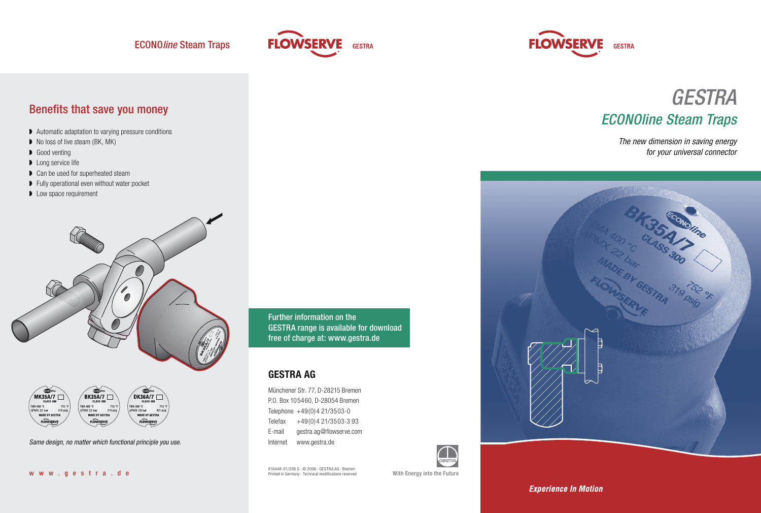



## Benefits that save you money

- ◗ Automatic adaptation to varying pressure conditions
- No loss of live steam (BK, MK)
- Good venting
- ◗ Long service life
- ◗ Can be used for superheated steam
- ◗ Fully operational even without water pocket
- **▶** Low space requirement





Same design, no matter which functional principle you use.

Further information on the GESTRA range is available for download free of charge at: www.gestra.de

#### **GESTRA AG**

Münchener Str. 77, D-28215 Bremen P.O. Box 105460, D-28054 Bremen Telephone  $+49(0)421/3503-0$ Telefax +49(0)4 21/3503-3 93 E-mail gestra.ag@flowserve.com Internet www.gestra.de

818448-01/206 G · © 2006 · GESTRA AG · Bremen Printed in Germany · Technical modifications reserved With Energy into the Future





The new dimension in saving energy for your universal connector



**Experience In Motion**